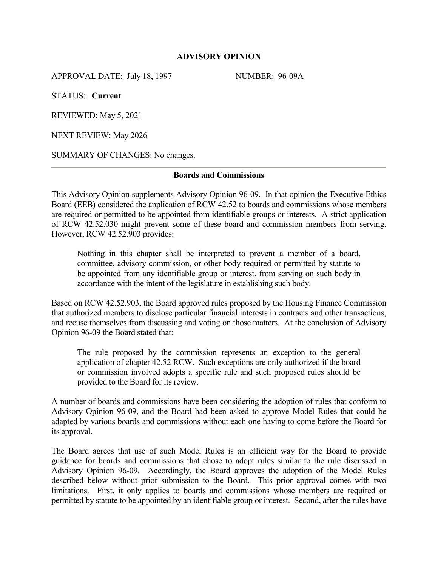### **ADVISORY OPINION**

APPROVAL DATE: July 18, 1997 NUMBER: 96-09A

STATUS: **Current**

REVIEWED: May 5, 2021

NEXT REVIEW: May 2026

SUMMARY OF CHANGES: No changes.

#### **Boards and Commissions**

This Advisory Opinion supplements Advisory Opinion 96-09. In that opinion the Executive Ethics Board (EEB) considered the application of RCW 42.52 to boards and commissions whose members are required or permitted to be appointed from identifiable groups or interests. A strict application of RCW 42.52.030 might prevent some of these board and commission members from serving. However, RCW 42.52.903 provides:

Nothing in this chapter shall be interpreted to prevent a member of a board, committee, advisory commission, or other body required or permitted by statute to be appointed from any identifiable group or interest, from serving on such body in accordance with the intent of the legislature in establishing such body.

Based on RCW 42.52.903, the Board approved rules proposed by the Housing Finance Commission that authorized members to disclose particular financial interests in contracts and other transactions, and recuse themselves from discussing and voting on those matters. At the conclusion of Advisory Opinion 96-09 the Board stated that:

The rule proposed by the commission represents an exception to the general application of chapter 42.52 RCW. Such exceptions are only authorized if the board or commission involved adopts a specific rule and such proposed rules should be provided to the Board for its review.

A number of boards and commissions have been considering the adoption of rules that conform to Advisory Opinion 96-09, and the Board had been asked to approve Model Rules that could be adapted by various boards and commissions without each one having to come before the Board for its approval.

The Board agrees that use of such Model Rules is an efficient way for the Board to provide guidance for boards and commissions that chose to adopt rules similar to the rule discussed in Advisory Opinion 96-09. Accordingly, the Board approves the adoption of the Model Rules described below without prior submission to the Board. This prior approval comes with two limitations. First, it only applies to boards and commissions whose members are required or permitted by statute to be appointed by an identifiable group or interest. Second, after the rules have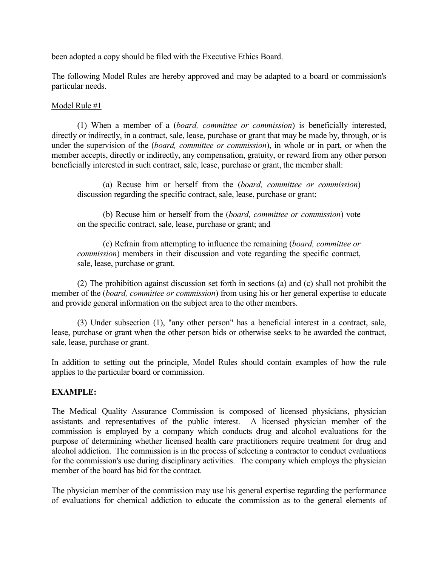been adopted a copy should be filed with the Executive Ethics Board.

The following Model Rules are hereby approved and may be adapted to a board or commission's particular needs.

## Model Rule #1

(1) When a member of a (*board, committee or commission*) is beneficially interested, directly or indirectly, in a contract, sale, lease, purchase or grant that may be made by, through, or is under the supervision of the (*board, committee or commission*), in whole or in part, or when the member accepts, directly or indirectly, any compensation, gratuity, or reward from any other person beneficially interested in such contract, sale, lease, purchase or grant, the member shall:

 (a) Recuse him or herself from the (*board, committee or commission*) discussion regarding the specific contract, sale, lease, purchase or grant;

 (b) Recuse him or herself from the (*board, committee or commission*) vote on the specific contract, sale, lease, purchase or grant; and

 (c) Refrain from attempting to influence the remaining (*board, committee or commission*) members in their discussion and vote regarding the specific contract, sale, lease, purchase or grant.

(2) The prohibition against discussion set forth in sections (a) and (c) shall not prohibit the member of the (*board, committee or commission*) from using his or her general expertise to educate and provide general information on the subject area to the other members.

(3) Under subsection (1), "any other person" has a beneficial interest in a contract, sale, lease, purchase or grant when the other person bids or otherwise seeks to be awarded the contract, sale, lease, purchase or grant.

In addition to setting out the principle, Model Rules should contain examples of how the rule applies to the particular board or commission.

## **EXAMPLE:**

The Medical Quality Assurance Commission is composed of licensed physicians, physician assistants and representatives of the public interest. A licensed physician member of the commission is employed by a company which conducts drug and alcohol evaluations for the purpose of determining whether licensed health care practitioners require treatment for drug and alcohol addiction. The commission is in the process of selecting a contractor to conduct evaluations for the commission's use during disciplinary activities. The company which employs the physician member of the board has bid for the contract.

The physician member of the commission may use his general expertise regarding the performance of evaluations for chemical addiction to educate the commission as to the general elements of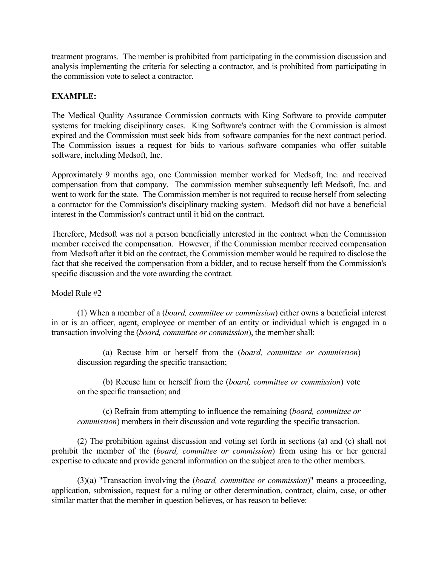treatment programs. The member is prohibited from participating in the commission discussion and analysis implementing the criteria for selecting a contractor, and is prohibited from participating in the commission vote to select a contractor.

# **EXAMPLE:**

The Medical Quality Assurance Commission contracts with King Software to provide computer systems for tracking disciplinary cases. King Software's contract with the Commission is almost expired and the Commission must seek bids from software companies for the next contract period. The Commission issues a request for bids to various software companies who offer suitable software, including Medsoft, Inc.

Approximately 9 months ago, one Commission member worked for Medsoft, Inc. and received compensation from that company. The commission member subsequently left Medsoft, Inc. and went to work for the state. The Commission member is not required to recuse herself from selecting a contractor for the Commission's disciplinary tracking system. Medsoft did not have a beneficial interest in the Commission's contract until it bid on the contract.

Therefore, Medsoft was not a person beneficially interested in the contract when the Commission member received the compensation. However, if the Commission member received compensation from Medsoft after it bid on the contract, the Commission member would be required to disclose the fact that she received the compensation from a bidder, and to recuse herself from the Commission's specific discussion and the vote awarding the contract.

## Model Rule #2

(1) When a member of a (*board, committee or commission*) either owns a beneficial interest in or is an officer, agent, employee or member of an entity or individual which is engaged in a transaction involving the (*board, committee or commission*), the member shall:

 (a) Recuse him or herself from the (*board, committee or commission*) discussion regarding the specific transaction;

 (b) Recuse him or herself from the (*board, committee or commission*) vote on the specific transaction; and

 (c) Refrain from attempting to influence the remaining (*board, committee or commission*) members in their discussion and vote regarding the specific transaction.

(2) The prohibition against discussion and voting set forth in sections (a) and (c) shall not prohibit the member of the (*board, committee or commission*) from using his or her general expertise to educate and provide general information on the subject area to the other members.

(3)(a) "Transaction involving the (*board, committee or commission*)" means a proceeding, application, submission, request for a ruling or other determination, contract, claim, case, or other similar matter that the member in question believes, or has reason to believe: